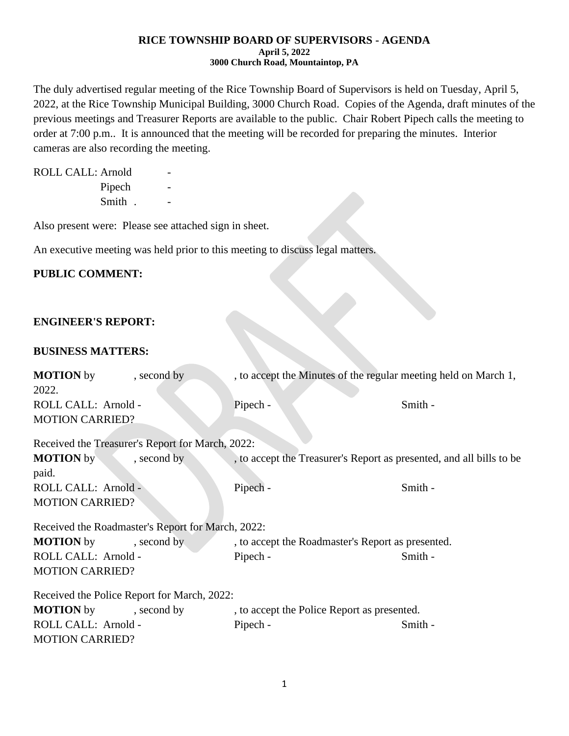#### **RICE TOWNSHIP BOARD OF SUPERVISORS - AGENDA April 5, 2022 3000 Church Road, Mountaintop, PA**

The duly advertised regular meeting of the Rice Township Board of Supervisors is held on Tuesday, April 5, 2022, at the Rice Township Municipal Building, 3000 Church Road. Copies of the Agenda, draft minutes of the previous meetings and Treasurer Reports are available to the public. Chair Robert Pipech calls the meeting to order at 7:00 p.m.. It is announced that the meeting will be recorded for preparing the minutes. Interior cameras are also recording the meeting.

ROLL CALL: Arnold Pipech Smith . -

Also present were: Please see attached sign in sheet.

An executive meeting was held prior to this meeting to discuss legal matters.

# **PUBLIC COMMENT:**

## **ENGINEER'S REPORT:**

## **BUSINESS MATTERS:**

| <b>MOTION</b> by                                  | , second by | , to accept the Minutes of the regular meeting held on March 1,      |         |  |  |
|---------------------------------------------------|-------------|----------------------------------------------------------------------|---------|--|--|
| 2022.                                             |             |                                                                      |         |  |  |
| ROLL CALL: Arnold -                               |             | Pipech -                                                             | Smith - |  |  |
| <b>MOTION CARRIED?</b>                            |             |                                                                      |         |  |  |
|                                                   |             |                                                                      |         |  |  |
| Received the Treasurer's Report for March, 2022:  |             |                                                                      |         |  |  |
| <b>MOTION</b> by                                  | , second by | , to accept the Treasurer's Report as presented, and all bills to be |         |  |  |
| paid.                                             |             |                                                                      |         |  |  |
| ROLL CALL: Arnold -                               |             | Pipech -                                                             | Smith - |  |  |
| <b>MOTION CARRIED?</b>                            |             |                                                                      |         |  |  |
| Received the Roadmaster's Report for March, 2022: |             |                                                                      |         |  |  |
| <b>MOTION</b> by<br>, second by                   |             | , to accept the Roadmaster's Report as presented.                    |         |  |  |
| ROLL CALL: Arnold -                               |             | Pipech -                                                             | Smith - |  |  |
| <b>MOTION CARRIED?</b>                            |             |                                                                      |         |  |  |
| Received the Police Report for March, 2022:       |             |                                                                      |         |  |  |
|                                                   |             |                                                                      |         |  |  |
| <b>MOTION</b> by                                  | , second by | , to accept the Police Report as presented.                          |         |  |  |
| ROLL CALL: Arnold -                               |             | Pipech -                                                             | Smith - |  |  |
| <b>MOTION CARRIED?</b>                            |             |                                                                      |         |  |  |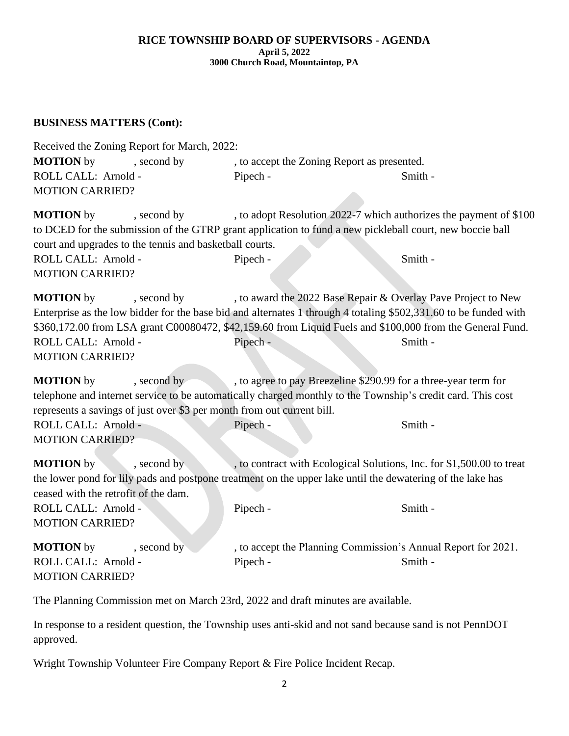#### **RICE TOWNSHIP BOARD OF SUPERVISORS - AGENDA April 5, 2022 3000 Church Road, Mountaintop, PA**

# **BUSINESS MATTERS (Cont):**

| Received the Zoning Report for March, 2022:                                                                                                                                                                                                                                                                       |                                                                                   |         |  |  |  |
|-------------------------------------------------------------------------------------------------------------------------------------------------------------------------------------------------------------------------------------------------------------------------------------------------------------------|-----------------------------------------------------------------------------------|---------|--|--|--|
| <b>MOTION</b> by<br>, second by                                                                                                                                                                                                                                                                                   | , to accept the Zoning Report as presented.                                       |         |  |  |  |
| ROLL CALL: Arnold -                                                                                                                                                                                                                                                                                               | Pipech -                                                                          | Smith - |  |  |  |
| <b>MOTION CARRIED?</b>                                                                                                                                                                                                                                                                                            |                                                                                   |         |  |  |  |
| <b>MOTION</b> by<br>, second by<br>to DCED for the submission of the GTRP grant application to fund a new pickleball court, new boccie ball<br>court and upgrades to the tennis and basketball courts.<br>ROLL CALL: Arnold -<br><b>MOTION CARRIED?</b>                                                           | , to adopt Resolution 2022-7 which authorizes the payment of \$100<br>Pipech -    | Smith - |  |  |  |
| <b>MOTION</b> by<br>, second by<br>Enterprise as the low bidder for the base bid and alternates 1 through 4 totaling \$502,331.60 to be funded with<br>\$360,172.00 from LSA grant C00080472, \$42,159.60 from Liquid Fuels and \$100,000 from the General Fund.<br>ROLL CALL: Arnold -<br><b>MOTION CARRIED?</b> | , to award the 2022 Base Repair & Overlay Pave Project to New<br>Pipech -         | Smith - |  |  |  |
| <b>MOTION</b> by<br>, second by<br>telephone and internet service to be automatically charged monthly to the Township's credit card. This cost<br>represents a savings of just over \$3 per month from out current bill.<br>ROLL CALL: Arnold -<br><b>MOTION CARRIED?</b>                                         | , to agree to pay Breezeline \$290.99 for a three-year term for<br>Pipech -       | Smith - |  |  |  |
| <b>MOTION</b> by<br>, second by<br>the lower pond for lily pads and postpone treatment on the upper lake until the dewatering of the lake has<br>ceased with the retrofit of the dam.<br>ROLL CALL: Arnold -<br><b>MOTION CARRIED?</b>                                                                            | , to contract with Ecological Solutions, Inc. for \$1,500.00 to treat<br>Pipech - | Smith - |  |  |  |
| <b>MOTION</b> by<br>, second by<br>ROLL CALL: Arnold -<br><b>MOTION CARRIED?</b>                                                                                                                                                                                                                                  | , to accept the Planning Commission's Annual Report for 2021.<br>Pipech -         | Smith - |  |  |  |

The Planning Commission met on March 23rd, 2022 and draft minutes are available.

In response to a resident question, the Township uses anti-skid and not sand because sand is not PennDOT approved.

Wright Township Volunteer Fire Company Report & Fire Police Incident Recap.